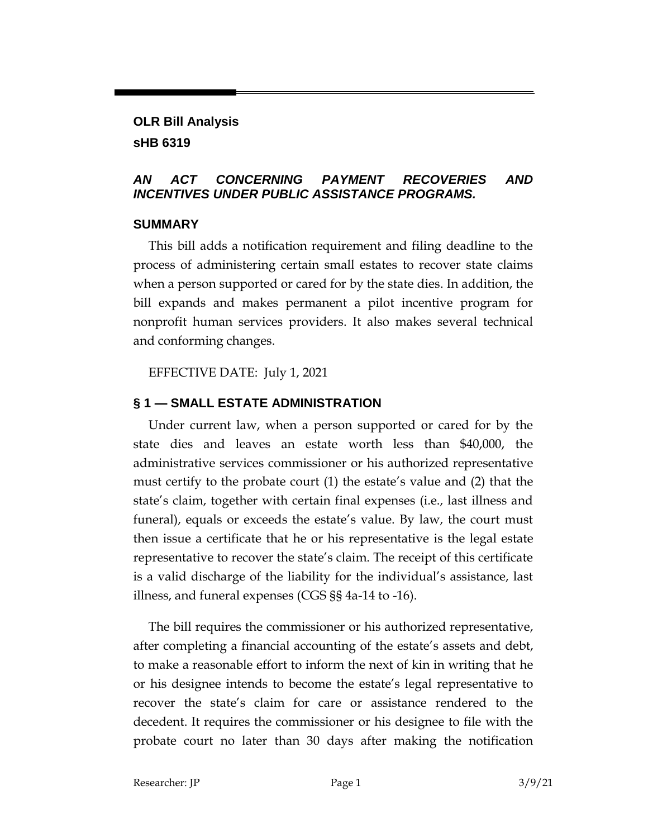# **OLR Bill Analysis sHB 6319**

### *AN ACT CONCERNING PAYMENT RECOVERIES AND INCENTIVES UNDER PUBLIC ASSISTANCE PROGRAMS.*

#### **SUMMARY**

This bill adds a notification requirement and filing deadline to the process of administering certain small estates to recover state claims when a person supported or cared for by the state dies. In addition, the bill expands and makes permanent a pilot incentive program for nonprofit human services providers. It also makes several technical and conforming changes.

EFFECTIVE DATE: July 1, 2021

## **§ 1 — SMALL ESTATE ADMINISTRATION**

Under current law, when a person supported or cared for by the state dies and leaves an estate worth less than \$40,000, the administrative services commissioner or his authorized representative must certify to the probate court (1) the estate's value and (2) that the state's claim, together with certain final expenses (i.e., last illness and funeral), equals or exceeds the estate's value. By law, the court must then issue a certificate that he or his representative is the legal estate representative to recover the state's claim. The receipt of this certificate is a valid discharge of the liability for the individual's assistance, last illness, and funeral expenses (CGS §§ 4a-14 to -16).

The bill requires the commissioner or his authorized representative, after completing a financial accounting of the estate's assets and debt, to make a reasonable effort to inform the next of kin in writing that he or his designee intends to become the estate's legal representative to recover the state's claim for care or assistance rendered to the decedent. It requires the commissioner or his designee to file with the probate court no later than 30 days after making the notification